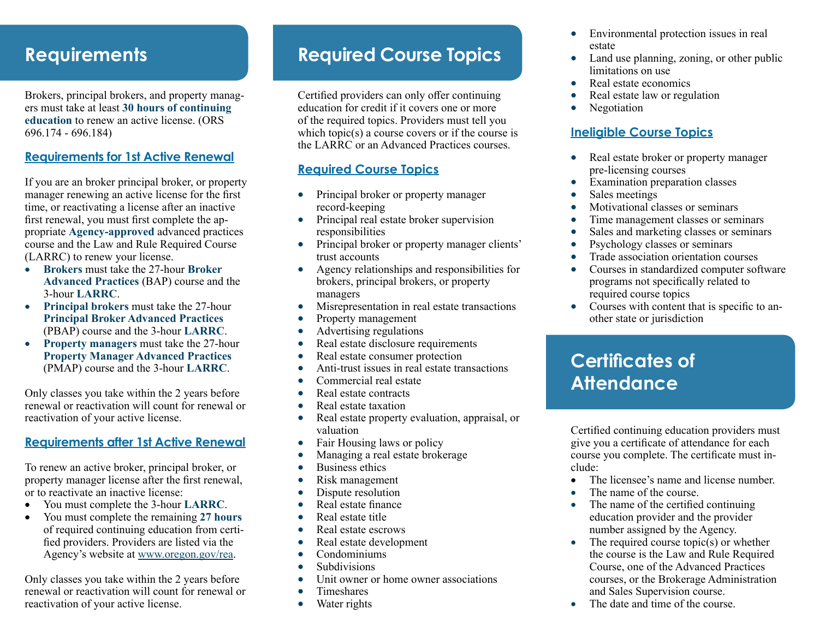## **Requirements**

Brokers, principal brokers, and property managers must take at least **30 hours of continuing education** to renew an active license. (ORS 696.174 - 696.184)

#### **Requirements for 1st Active Renewal**

If you are an broker principal broker, or property manager renewing an active license for the first time, or reactivating a license after an inactive first renewal, you must first complete the appropriate **Agency-approved** advanced practices course and the Law and Rule Required Course (LARRC) to renew your license.

- **Brokers** must take the 27-hour **Broker Advanced Practices** (BAP) course and the 3-hour **LARRC**.
- **Principal brokers** must take the 27-hour **Principal Broker Advanced Practices** (PBAP) course and the 3-hour **LARRC**.
- **Property managers** must take the 27-hour **Property Manager Advanced Practices** (PMAP) course and the 3-hour **LARRC**.

Only classes you take within the 2 years before renewal or reactivation will count for renewal or reactivation of your active license.

#### **Requirements after 1st Active Renewal**

To renew an active broker, principal broker, or property manager license after the first renewal, or to reactivate an inactive license:

- • You must complete the 3-hour **LARRC**.
- • You must complete the remaining **27 hours** of required continuing education from certified providers. Providers are listed via the Agency's website at www.oregon.gov/rea.

Only classes you take within the 2 years before renewal or reactivation will count for renewal or reactivation of your active license.

## **Required Course Topics**

Certified providers can only offer continuing education for credit if it covers one or more of the required topics. Providers must tell you which topic $(s)$  a course covers or if the course is the LARRC or an Advanced Practices courses.

#### **Required Course Topics**

- Principal broker or property manager record-keeping
- Principal real estate broker supervision responsibilities
- Principal broker or property manager clients' trust accounts
- Agency relationships and responsibilities for brokers, principal brokers, or property managers
- Misrepresentation in real estate transactions
- Property management
- Advertising regulations
- Real estate disclosure requirements
- Real estate consumer protection
- Anti-trust issues in real estate transactions
- Commercial real estate
- Real estate contracts
- Real estate taxation
- Real estate property evaluation, appraisal, or valuation
- Fair Housing laws or policy
- Managing a real estate brokerage
- Business ethics
- Risk management
- Dispute resolution
- Real estate finance
- Real estate title
- Real estate escrows
- Real estate development
- Condominiums
- Subdivisions
- Unit owner or home owner associations
- Timeshares
- Water rights
- Environmental protection issues in real estate
- Land use planning, zoning, or other public limitations on use
- Real estate economics
- Real estate law or regulation
- **Negotiation**

#### **Ineligible Course Topics**

- Real estate broker or property manager pre-licensing courses
- Examination preparation classes
- Sales meetings
- Motivational classes or seminars
- Time management classes or seminars
- Sales and marketing classes or seminars
- Psychology classes or seminars
- Trade association orientation courses
- Courses in standardized computer software programs not specifically related to required course topics
- Courses with content that is specific to another state or jurisdiction

## **Certificates of Attendance**

Certified continuing education providers must give you a certificate of attendance for each course you complete. The certificate must include:

- The licensee's name and license number.
- The name of the course.
- The name of the certified continuing education provider and the provider number assigned by the Agency.
- The required course topic $(s)$  or whether the course is the Law and Rule Required Course, one of the Advanced Practices courses, or the Brokerage Administration and Sales Supervision course.
- $\bullet$  The date and time of the course.